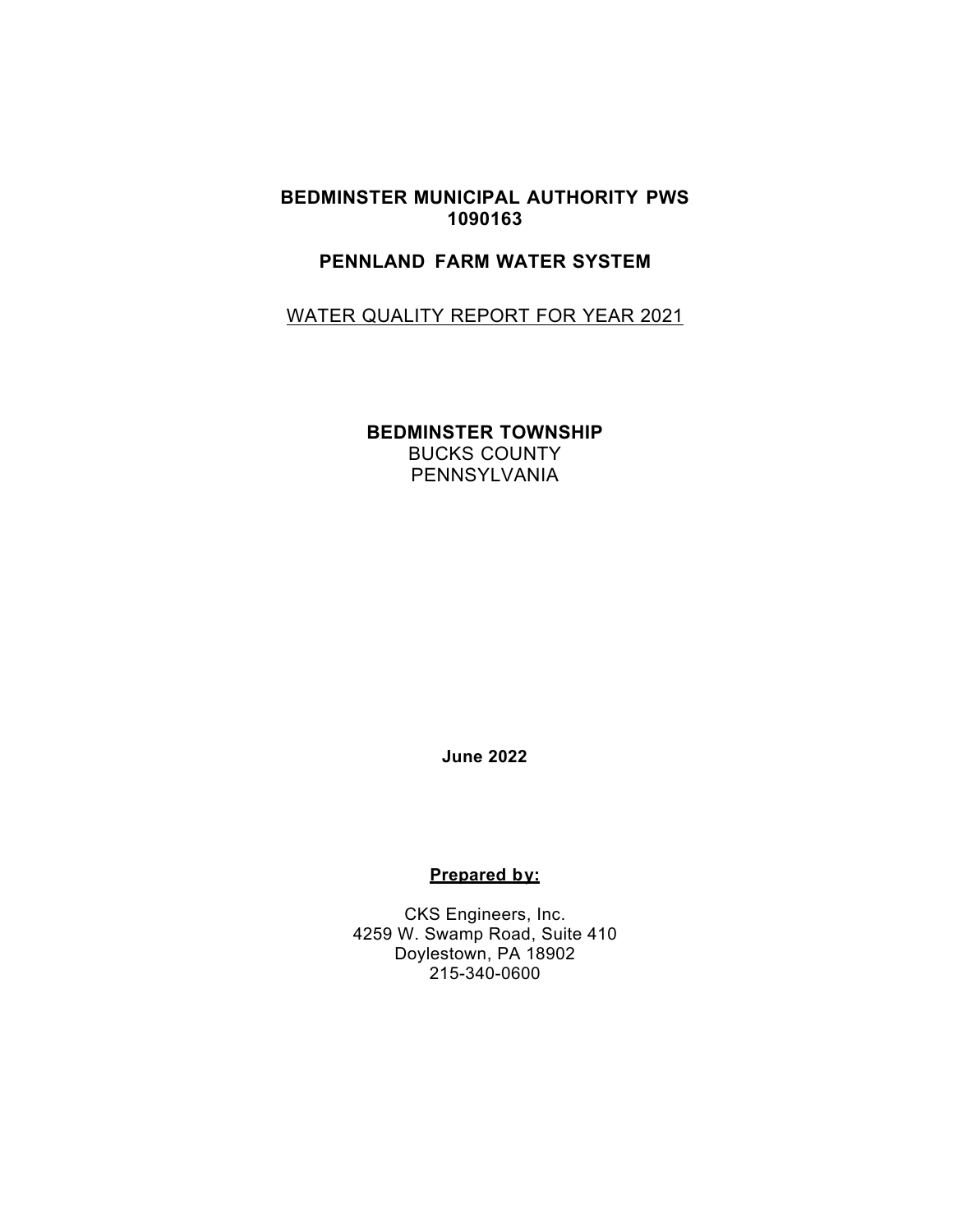#### **BEDMINSTER MUNICIPAL AUTHORITY PWS 1090163**

# **PENNLAND FARM WATER SYSTEM**

# WATER QUALITY REPORT FOR YEAR 2021

**BEDMINSTER TOWNSHIP** BUCKS COUNTY PENNSYLVANIA

**June 2022** 

#### **Prepared by:**

CKS Engineers, Inc. 4259 W. Swamp Road, Suite 410 Doylestown, PA 18902 215-340-0600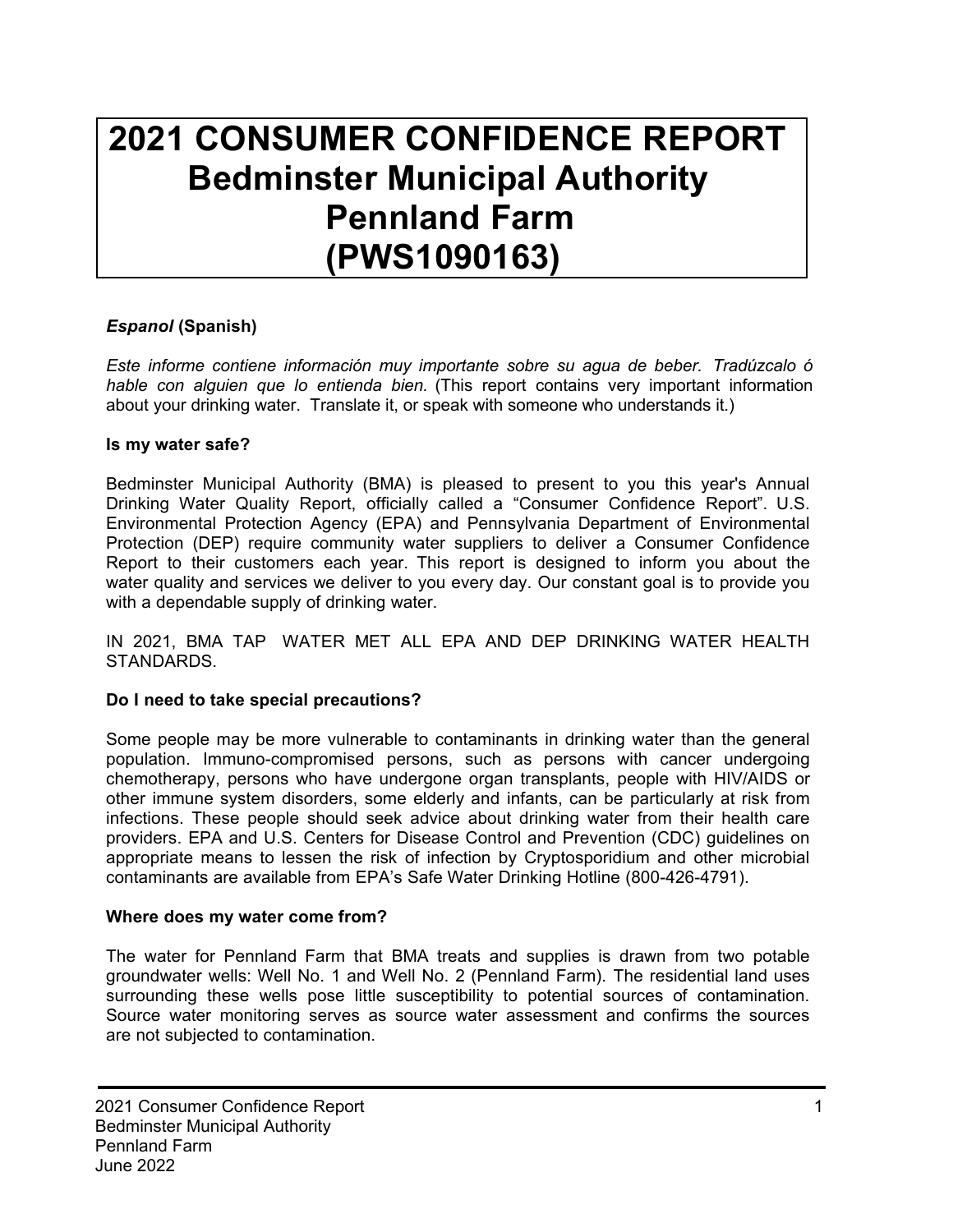# **2021 CONSUMER CONFIDENCE REPORT Bedminster Municipal Authority Pennland Farm (PWS1090163)**

# *Espanol* **(Spanish)**

*Este informe contiene información muy importante sobre su agua de beber. Tradúzcalo ó hable con alguien que lo entienda bien.* (This report contains very important information about your drinking water. Translate it, or speak with someone who understands it.)

#### **Is my water safe?**

Bedminster Municipal Authority (BMA) is pleased to present to you this year's Annual Drinking Water Quality Report, officially called a "Consumer Confidence Report". U.S. Environmental Protection Agency (EPA) and Pennsylvania Department of Environmental Protection (DEP) require community water suppliers to deliver a Consumer Confidence Report to their customers each year. This report is designed to inform you about the water quality and services we deliver to you every day. Our constant goal is to provide you with a dependable supply of drinking water.

IN 2021, BMA TAP WATER MET ALL EPA AND DEP DRINKING WATER HEALTH STANDARDS.

# **Do I need to take special precautions?**

Some people may be more vulnerable to contaminants in drinking water than the general population. Immuno-compromised persons, such as persons with cancer undergoing chemotherapy, persons who have undergone organ transplants, people with HIV/AIDS or other immune system disorders, some elderly and infants, can be particularly at risk from infections. These people should seek advice about drinking water from their health care providers. EPA and U.S. Centers for Disease Control and Prevention (CDC) guidelines on appropriate means to lessen the risk of infection by Cryptosporidium and other microbial contaminants are available from EPA's Safe Water Drinking Hotline (800-426-4791).

# **Where does my water come from?**

The water for Pennland Farm that BMA treats and supplies is drawn from two potable groundwater wells: Well No. 1 and Well No. 2 (Pennland Farm). The residential land uses surrounding these wells pose little susceptibility to potential sources of contamination. Source water monitoring serves as source water assessment and confirms the sources are not subjected to contamination.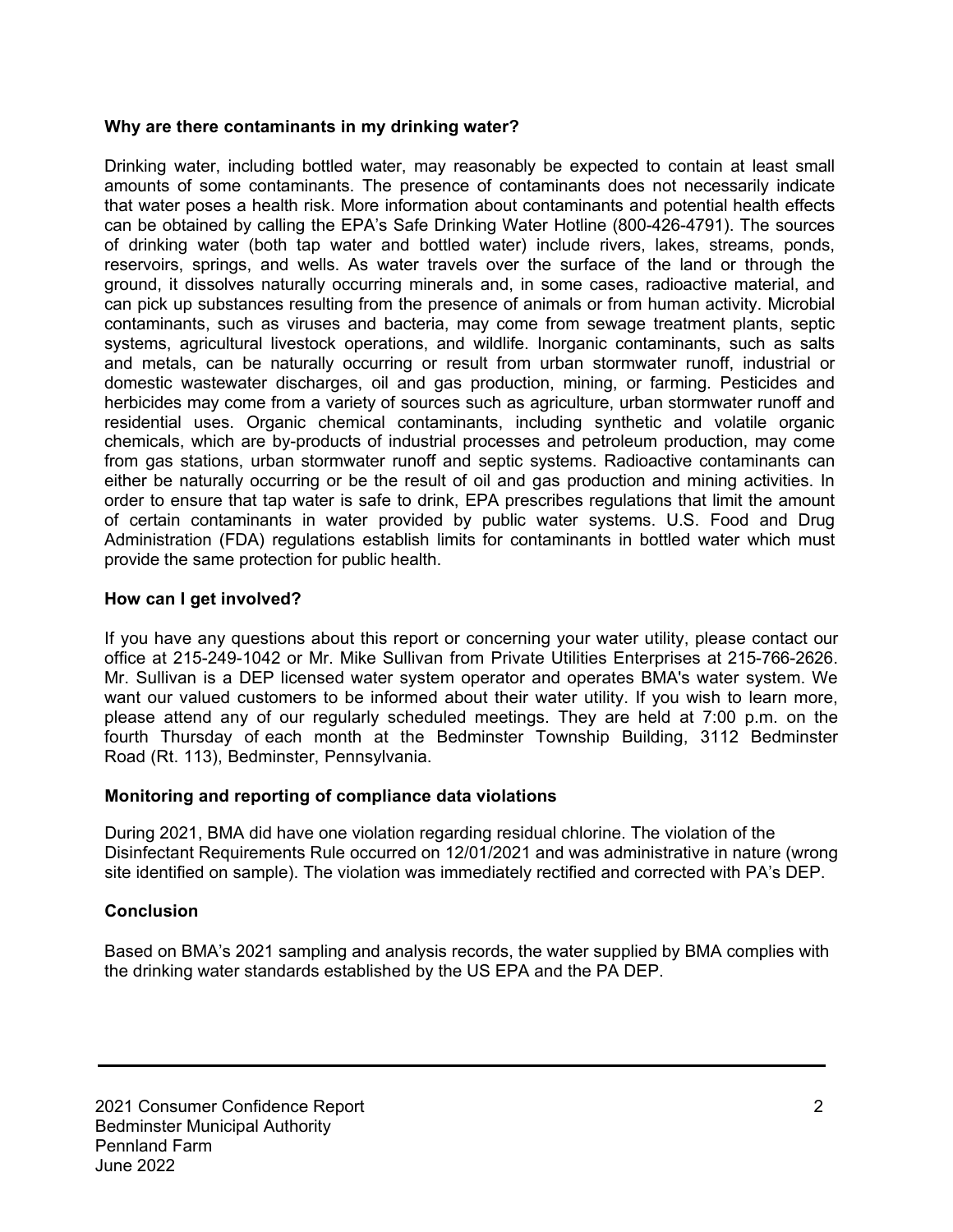#### **Why are there contaminants in my drinking water?**

Drinking water, including bottled water, may reasonably be expected to contain at least small amounts of some contaminants. The presence of contaminants does not necessarily indicate that water poses a health risk. More information about contaminants and potential health effects can be obtained by calling the EPA's Safe Drinking Water Hotline (800-426-4791). The sources of drinking water (both tap water and bottled water) include rivers, lakes, streams, ponds, reservoirs, springs, and wells. As water travels over the surface of the land or through the ground, it dissolves naturally occurring minerals and, in some cases, radioactive material, and can pick up substances resulting from the presence of animals or from human activity. Microbial contaminants, such as viruses and bacteria, may come from sewage treatment plants, septic systems, agricultural livestock operations, and wildlife. Inorganic contaminants, such as salts and metals, can be naturally occurring or result from urban stormwater runoff, industrial or domestic wastewater discharges, oil and gas production, mining, or farming. Pesticides and herbicides may come from a variety of sources such as agriculture, urban stormwater runoff and residential uses. Organic chemical contaminants, including synthetic and volatile organic chemicals, which are by-products of industrial processes and petroleum production, may come from gas stations, urban stormwater runoff and septic systems. Radioactive contaminants can either be naturally occurring or be the result of oil and gas production and mining activities. In order to ensure that tap water is safe to drink, EPA prescribes regulations that limit the amount of certain contaminants in water provided by public water systems. U.S. Food and Drug Administration (FDA) regulations establish limits for contaminants in bottled water which must provide the same protection for public health.

# **How can I get involved?**

If you have any questions about this report or concerning your water utility, please contact our office at 215-249-1042 or Mr. Mike Sullivan from Private Utilities Enterprises at 215-766-2626. Mr. Sullivan is a DEP licensed water system operator and operates BMA's water system. We want our valued customers to be informed about their water utility. If you wish to learn more, please attend any of our regularly scheduled meetings. They are held at 7:00 p.m. on the fourth Thursday of each month at the Bedminster Township Building, 3112 Bedminster Road (Rt. 113), Bedminster, Pennsylvania.

# **Monitoring and reporting of compliance data violations**

During 2021, BMA did have one violation regarding residual chlorine. The violation of the Disinfectant Requirements Rule occurred on 12/01/2021 and was administrative in nature (wrong site identified on sample). The violation was immediately rectified and corrected with PA's DEP.

# **Conclusion**

Based on BMA's 2021 sampling and analysis records, the water supplied by BMA complies with the drinking water standards established by the US EPA and the PA DEP.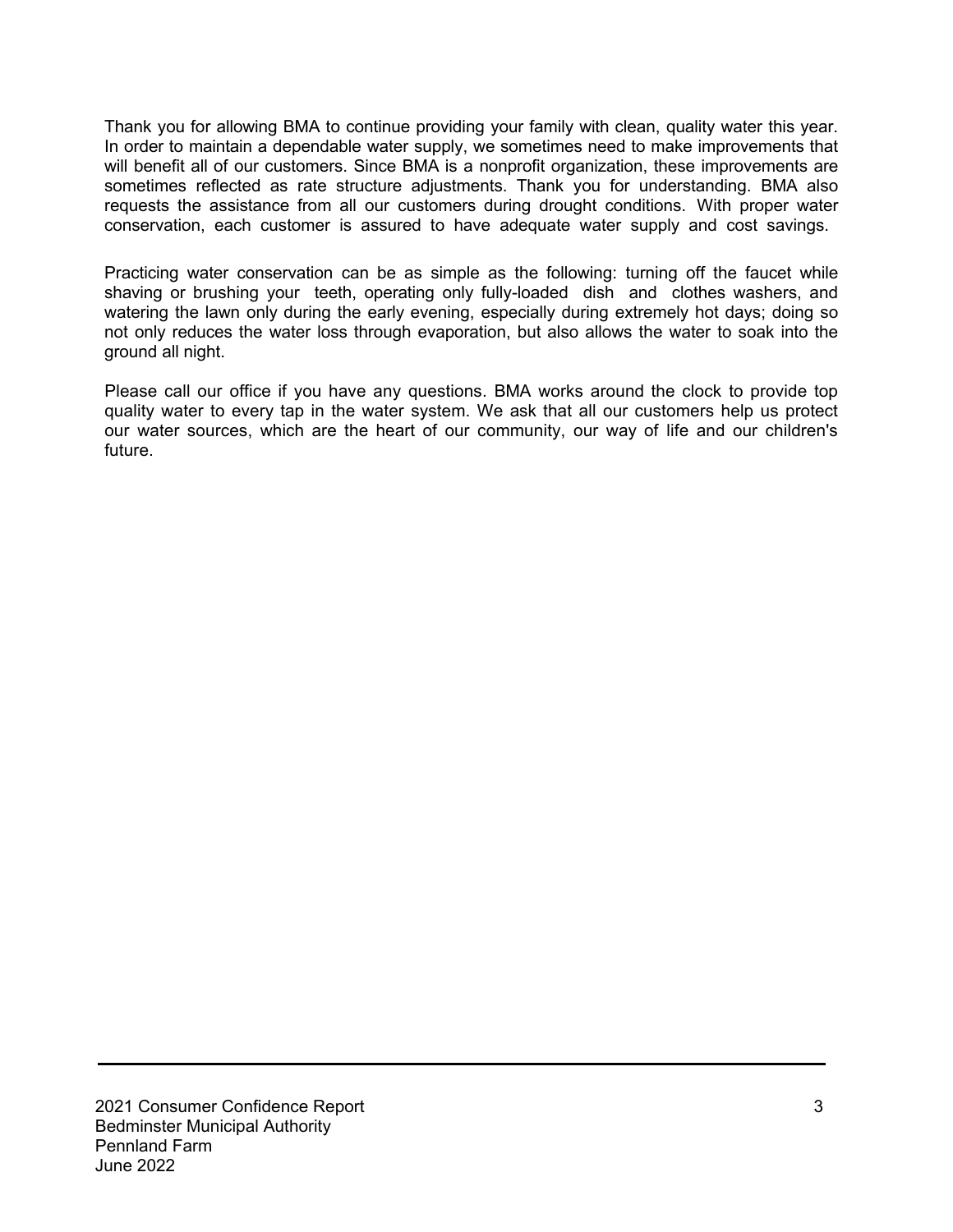Thank you for allowing BMA to continue providing your family with clean, quality water this year. In order to maintain a dependable water supply, we sometimes need to make improvements that will benefit all of our customers. Since BMA is a nonprofit organization, these improvements are sometimes reflected as rate structure adjustments. Thank you for understanding. BMA also requests the assistance from all our customers during drought conditions. With proper water conservation, each customer is assured to have adequate water supply and cost savings.

Practicing water conservation can be as simple as the following: turning off the faucet while shaving or brushing your teeth, operating only fully-loaded dish and clothes washers, and watering the lawn only during the early evening, especially during extremely hot days; doing so not only reduces the water loss through evaporation, but also allows the water to soak into the ground all night.

Please call our office if you have any questions. BMA works around the clock to provide top quality water to every tap in the water system. We ask that all our customers help us protect our water sources, which are the heart of our community, our way of life and our children's future.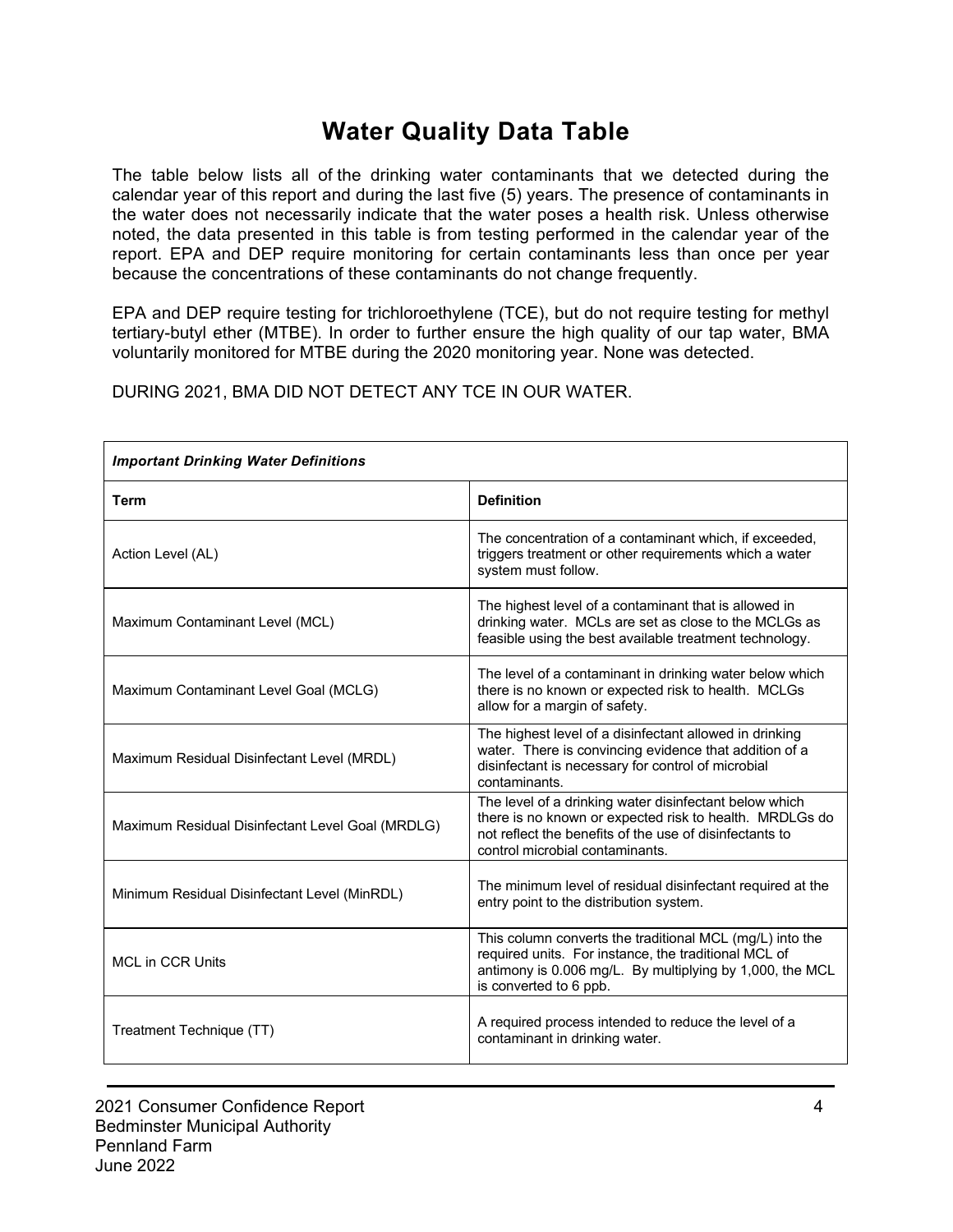# **Water Quality Data Table**

The table below lists all of the drinking water contaminants that we detected during the calendar year of this report and during the last five (5) years. The presence of contaminants in the water does not necessarily indicate that the water poses a health risk. Unless otherwise noted, the data presented in this table is from testing performed in the calendar year of the report. EPA and DEP require monitoring for certain contaminants less than once per year because the concentrations of these contaminants do not change frequently.

EPA and DEP require testing for trichloroethylene (TCE), but do not require testing for methyl tertiary-butyl ether (MTBE). In order to further ensure the high quality of our tap water, BMA voluntarily monitored for MTBE during the 2020 monitoring year. None was detected.

DURING 2021, BMA DID NOT DETECT ANY TCE IN OUR WATER.

| <b>Important Drinking Water Definitions</b>      |                                                                                                                                                                                                                 |  |  |  |  |  |  |  |
|--------------------------------------------------|-----------------------------------------------------------------------------------------------------------------------------------------------------------------------------------------------------------------|--|--|--|--|--|--|--|
| <b>Term</b>                                      | <b>Definition</b>                                                                                                                                                                                               |  |  |  |  |  |  |  |
| Action Level (AL)                                | The concentration of a contaminant which, if exceeded,<br>triggers treatment or other requirements which a water<br>system must follow.                                                                         |  |  |  |  |  |  |  |
| Maximum Contaminant Level (MCL)                  | The highest level of a contaminant that is allowed in<br>drinking water. MCLs are set as close to the MCLGs as<br>feasible using the best available treatment technology.                                       |  |  |  |  |  |  |  |
| Maximum Contaminant Level Goal (MCLG)            | The level of a contaminant in drinking water below which<br>there is no known or expected risk to health. MCLGs<br>allow for a margin of safety.                                                                |  |  |  |  |  |  |  |
| Maximum Residual Disinfectant Level (MRDL)       | The highest level of a disinfectant allowed in drinking<br>water. There is convincing evidence that addition of a<br>disinfectant is necessary for control of microbial<br>contaminants.                        |  |  |  |  |  |  |  |
| Maximum Residual Disinfectant Level Goal (MRDLG) | The level of a drinking water disinfectant below which<br>there is no known or expected risk to health. MRDLGs do<br>not reflect the benefits of the use of disinfectants to<br>control microbial contaminants. |  |  |  |  |  |  |  |
| Minimum Residual Disinfectant Level (MinRDL)     | The minimum level of residual disinfectant required at the<br>entry point to the distribution system.                                                                                                           |  |  |  |  |  |  |  |
| <b>MCL in CCR Units</b>                          | This column converts the traditional MCL (mg/L) into the<br>required units. For instance, the traditional MCL of<br>antimony is 0.006 mg/L. By multiplying by 1,000, the MCL<br>is converted to 6 ppb.          |  |  |  |  |  |  |  |
| Treatment Technique (TT)                         | A required process intended to reduce the level of a<br>contaminant in drinking water.                                                                                                                          |  |  |  |  |  |  |  |

2021 Consumer Confidence Report 4 Bedminster Municipal Authority Pennland Farm June 2022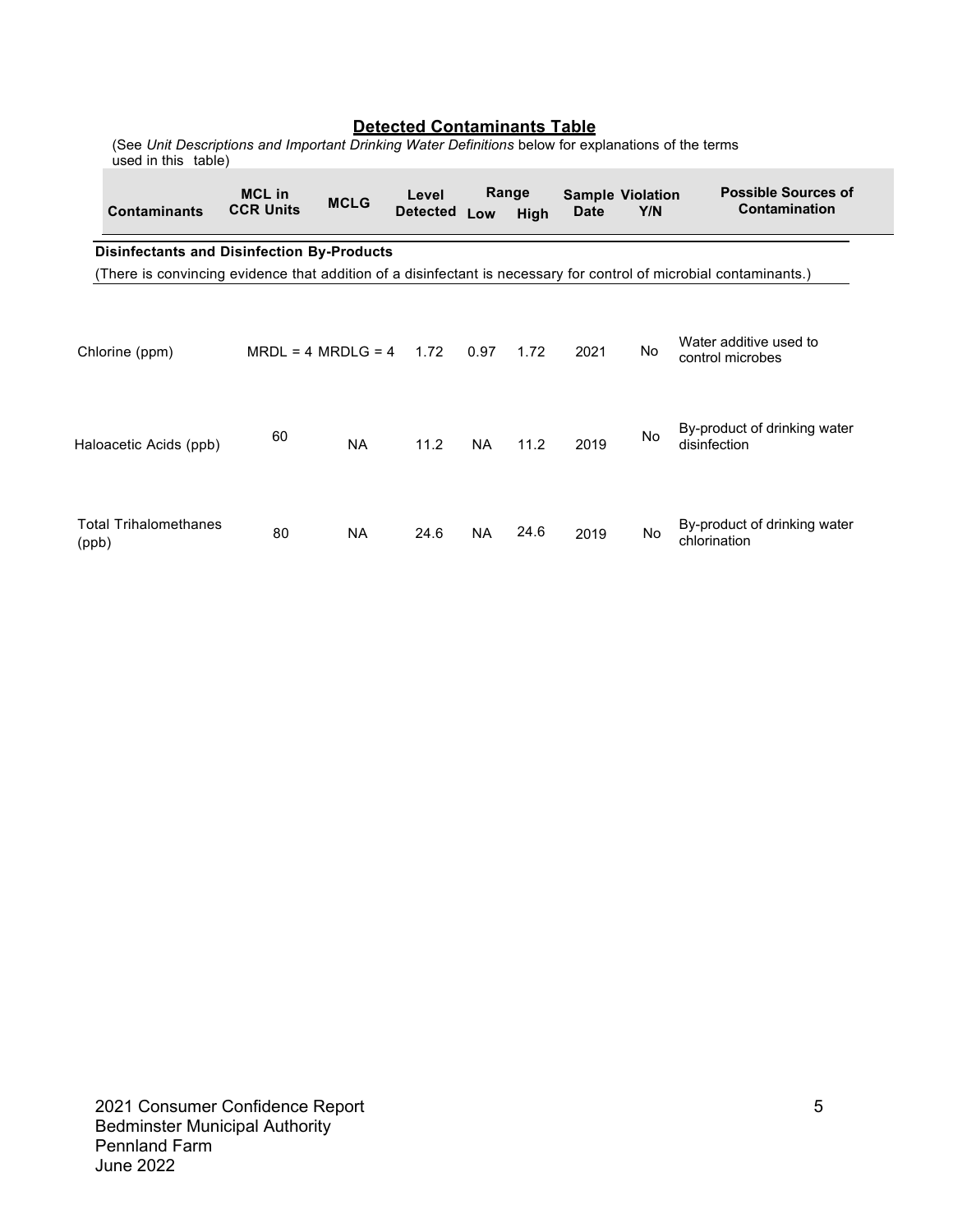| <b>Detected Contaminants Table</b><br>(See Unit Descriptions and Important Drinking Water Definitions below for explanations of the terms<br>used in this table) |                                   |             |                          |           |               |                                        |     |                                                                                                                    |  |
|------------------------------------------------------------------------------------------------------------------------------------------------------------------|-----------------------------------|-------------|--------------------------|-----------|---------------|----------------------------------------|-----|--------------------------------------------------------------------------------------------------------------------|--|
| <b>Contaminants</b>                                                                                                                                              | <b>MCL</b> in<br><b>CCR Units</b> | <b>MCLG</b> | Level<br><b>Detected</b> | Low       | Range<br>High | <b>Sample Violation</b><br><b>Date</b> | Y/N | <b>Possible Sources of</b><br>Contamination                                                                        |  |
| <b>Disinfectants and Disinfection By-Products</b>                                                                                                                |                                   |             |                          |           |               |                                        |     |                                                                                                                    |  |
|                                                                                                                                                                  |                                   |             |                          |           |               |                                        |     | (There is convincing evidence that addition of a disinfectant is necessary for control of microbial contaminants.) |  |
| Chlorine (ppm)                                                                                                                                                   | $MRDL = 4 MRDLG = 4 1.72$         |             |                          | 0.97      | 1.72          | 2021                                   | No  | Water additive used to<br>control microbes                                                                         |  |
| Haloacetic Acids (ppb)                                                                                                                                           | 60                                | <b>NA</b>   | 11.2                     | <b>NA</b> | 11.2          | 2019                                   | No  | By-product of drinking water<br>disinfection                                                                       |  |
| <b>Total Trihalomethanes</b><br>(ppb)                                                                                                                            | 80                                | <b>NA</b>   | 24.6                     | <b>NA</b> | 24.6          | 2019                                   | No  | By-product of drinking water<br>chlorination                                                                       |  |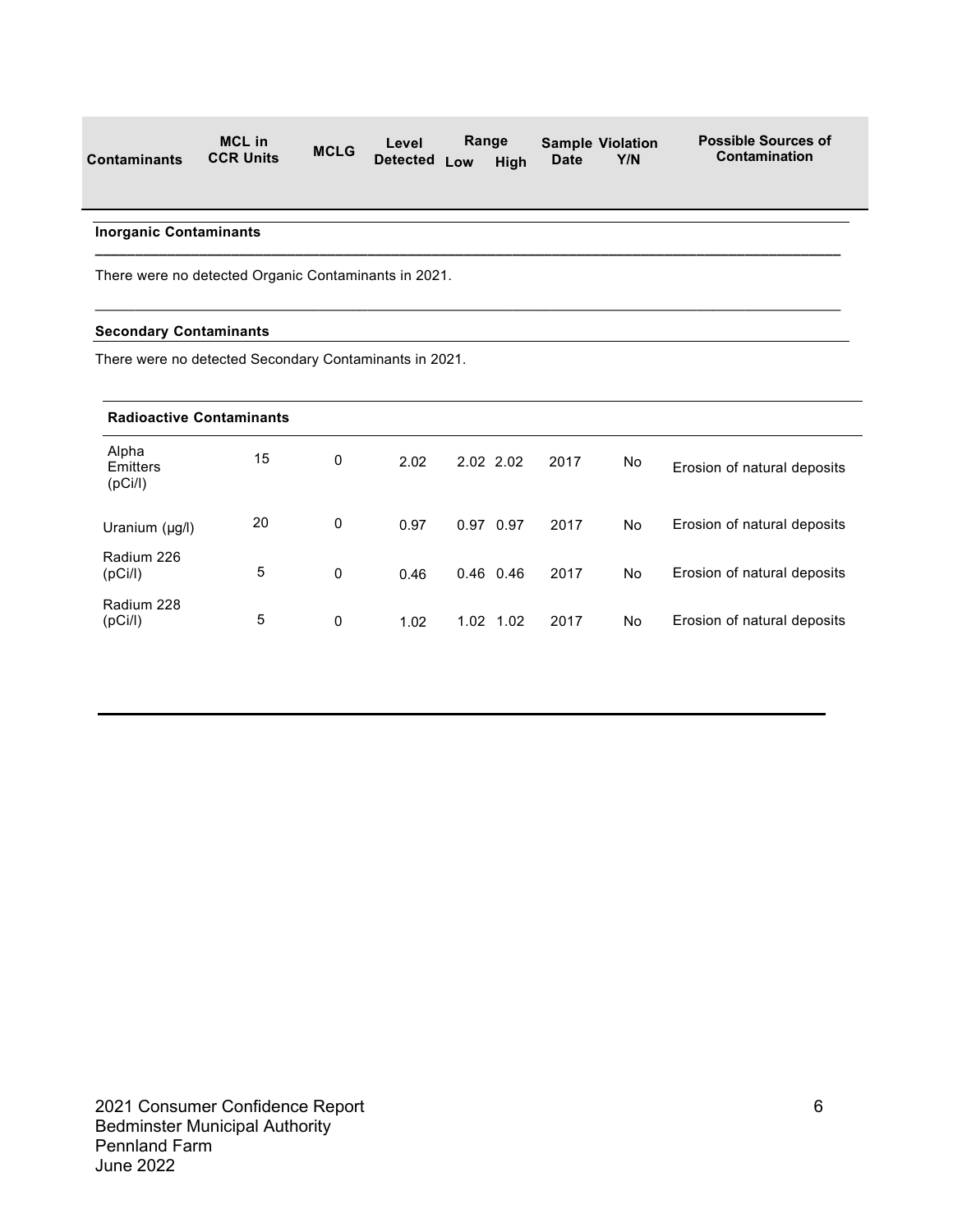| <b>Contaminants</b> | <b>MCL in</b>    | <b>MCLG</b> | Range<br>Level    |  | <b>Sample Violation</b> |             | <b>Possible Sources of</b> |
|---------------------|------------------|-------------|-------------------|--|-------------------------|-------------|----------------------------|
|                     | <b>CCR Units</b> |             | Detected Low High |  |                         | <b>Date</b> | Y/N                        |

**\_\_\_\_\_\_\_\_\_\_\_\_\_\_\_\_\_\_\_\_\_\_\_\_\_\_\_\_\_\_\_\_\_\_\_\_\_\_\_\_\_\_\_\_\_\_\_\_\_\_\_\_\_\_\_\_\_\_\_\_\_\_\_\_\_\_\_\_\_\_\_\_\_\_\_\_\_\_\_\_\_\_\_\_\_\_\_\_\_\_\_\_\_** 

 $\mathcal{L}_\mathcal{L} = \{ \mathcal{L}_\mathcal{L} = \{ \mathcal{L}_\mathcal{L} = \{ \mathcal{L}_\mathcal{L} = \{ \mathcal{L}_\mathcal{L} = \{ \mathcal{L}_\mathcal{L} = \{ \mathcal{L}_\mathcal{L} = \{ \mathcal{L}_\mathcal{L} = \{ \mathcal{L}_\mathcal{L} = \{ \mathcal{L}_\mathcal{L} = \{ \mathcal{L}_\mathcal{L} = \{ \mathcal{L}_\mathcal{L} = \{ \mathcal{L}_\mathcal{L} = \{ \mathcal{L}_\mathcal{L} = \{ \mathcal{L}_\mathcal{$ 

#### **Inorganic Contaminants**

There were no detected Organic Contaminants in 2021.

#### **Secondary Contaminants**

There were no detected Secondary Contaminants in 2021.

| <b>Radioactive Contaminants</b> |                 |   |      |              |      |    |                             |  |  |
|---------------------------------|-----------------|---|------|--------------|------|----|-----------------------------|--|--|
| Alpha<br>Emitters<br>(pCi/l)    | 15              | 0 | 2.02 | 2.02 2.02    | 2017 | No | Erosion of natural deposits |  |  |
| Uranium (µg/l)                  | 20              | 0 | 0.97 | 0.97 0.97    | 2017 | No | Erosion of natural deposits |  |  |
| Radium 226<br>(pCi/l)           | $5\phantom{.0}$ | 0 | 0.46 | $0.46$ 0.46  | 2017 | No | Erosion of natural deposits |  |  |
| Radium 228<br>(pCi/l)           | 5               | 0 | 1.02 | 1.02<br>1.02 | 2017 | No | Erosion of natural deposits |  |  |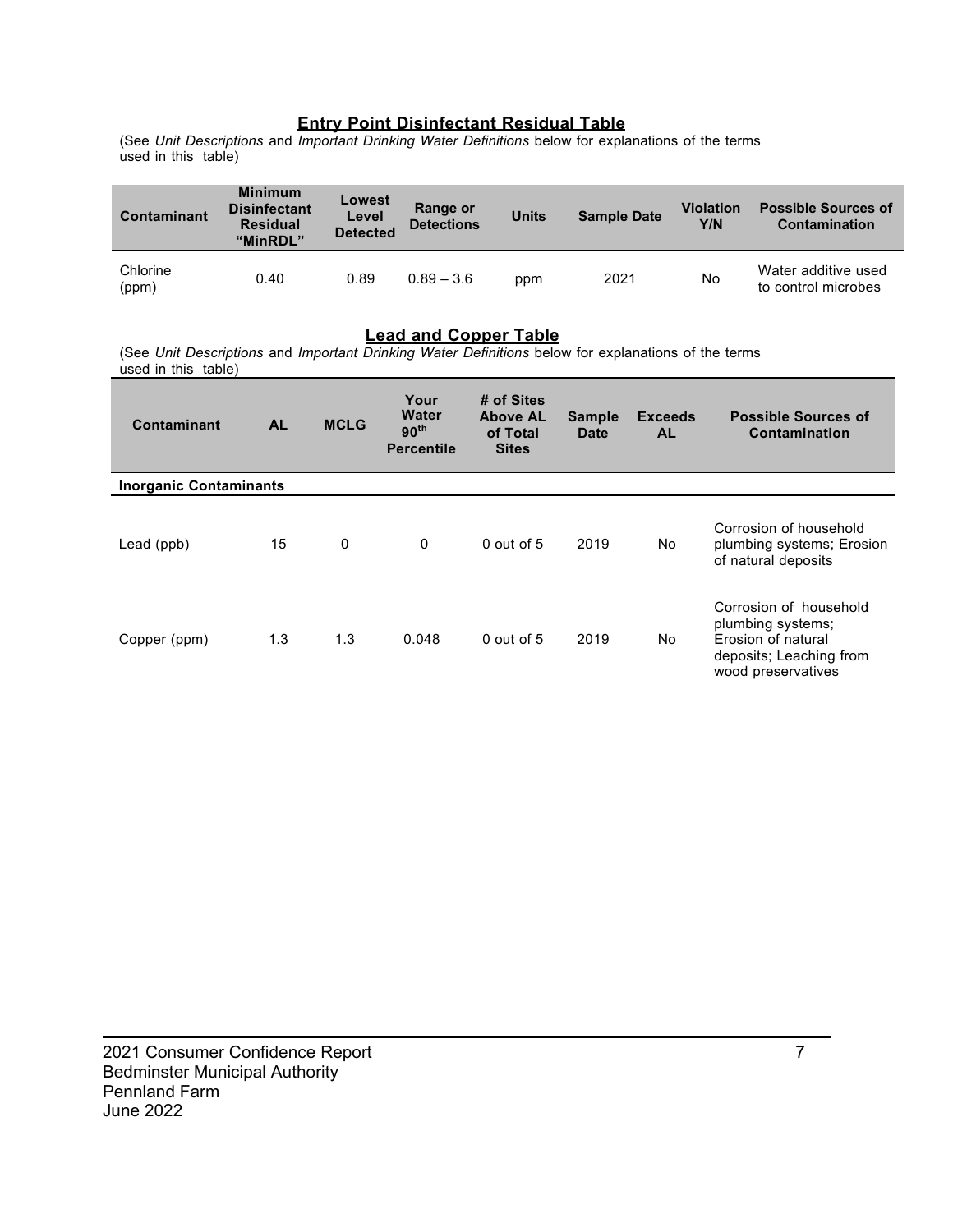#### **Entry Point Disinfectant Residual Table**

(See *Unit Descriptions* and *Important Drinking Water Definitions* below for explanations of the terms used in this table)

| Contaminant       | <b>Minimum</b><br><b>Disinfectant</b><br><b>Residual</b><br>"MinRDL" | Lowest<br>Level<br><b>Detected</b> | Range or<br><b>Detections</b> | <b>Units</b> | <b>Sample Date</b> | <b>Violation</b><br>Y/N | <b>Possible Sources of</b><br>Contamination |
|-------------------|----------------------------------------------------------------------|------------------------------------|-------------------------------|--------------|--------------------|-------------------------|---------------------------------------------|
| Chlorine<br>(ppm) | 0.40                                                                 | 0.89                               | $0.89 - 3.6$                  | ppm          | 2021               | No                      | Water additive used<br>to control microbes  |

#### **Lead and Copper Table**

(See *Unit Descriptions* and *Important Drinking Water Definitions* below for explanations of the terms  $used$  in this table)

\_\_\_\_\_\_\_\_\_\_\_\_\_\_\_\_\_\_\_\_\_\_\_\_\_\_\_\_\_\_\_\_\_\_\_\_\_\_\_\_\_\_\_\_\_\_\_\_\_\_\_\_\_\_\_\_\_\_\_\_\_\_\_\_\_\_\_\_\_\_\_\_\_\_\_\_\_\_\_\_

| Contaminant                   | <b>AL</b> | <b>MCLG</b> | Your<br>Water<br>90 <sup>th</sup><br><b>Percentile</b> | # of Sites<br><b>Above AL</b><br>of Total<br><b>Sites</b> | <b>Sample</b><br>Date | <b>Exceeds</b><br><b>AL</b> | <b>Possible Sources of</b><br>Contamination                                                                        |
|-------------------------------|-----------|-------------|--------------------------------------------------------|-----------------------------------------------------------|-----------------------|-----------------------------|--------------------------------------------------------------------------------------------------------------------|
| <b>Inorganic Contaminants</b> |           |             |                                                        |                                                           |                       |                             |                                                                                                                    |
| Lead (ppb)                    | 15        | 0           | $\mathbf{0}$                                           | $0$ out of 5                                              | 2019                  | No.                         | Corrosion of household<br>plumbing systems; Erosion<br>of natural deposits                                         |
| Copper (ppm)                  | 1.3       | 1.3         | 0.048                                                  | $0$ out of 5                                              | 2019                  | No                          | Corrosion of household<br>plumbing systems;<br>Erosion of natural<br>deposits; Leaching from<br>wood preservatives |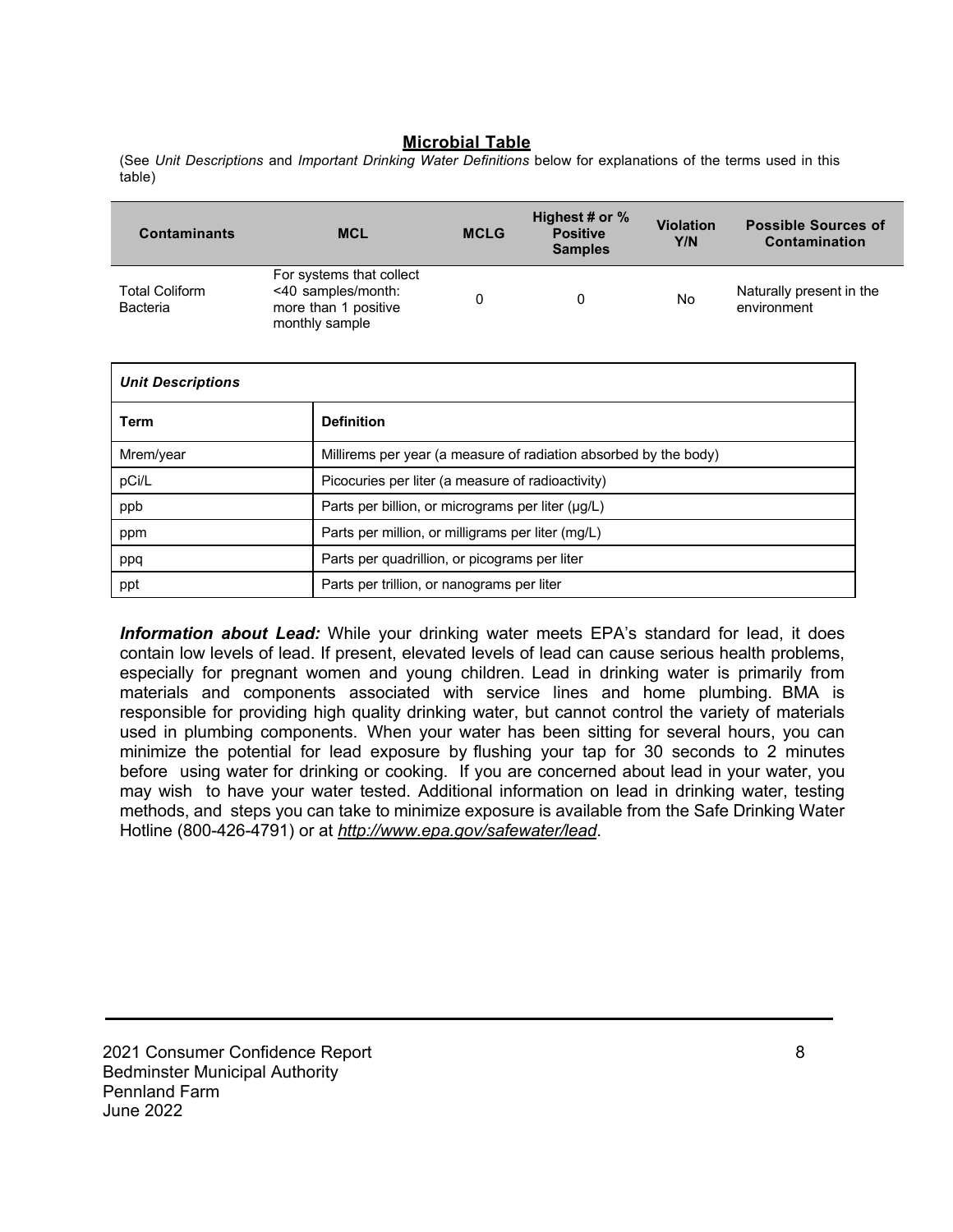#### **Microbial Table**

(See *Unit Descriptions* and *Important Drinking Water Definitions* below for explanations of the terms used in this table)

| <b>Contaminants</b>                      |                                                                                          | <b>MCL</b>                                                       | <b>MCLG</b> | Highest # or %<br><b>Positive</b><br><b>Samples</b> | <b>Violation</b><br>Y/N | <b>Possible Sources of</b><br>Contamination |  |  |
|------------------------------------------|------------------------------------------------------------------------------------------|------------------------------------------------------------------|-------------|-----------------------------------------------------|-------------------------|---------------------------------------------|--|--|
| <b>Total Coliform</b><br><b>Bacteria</b> | For systems that collect<br><40 samples/month:<br>more than 1 positive<br>monthly sample |                                                                  | 0           | 0                                                   | No                      | Naturally present in the<br>environment     |  |  |
| <b>Unit Descriptions</b>                 |                                                                                          |                                                                  |             |                                                     |                         |                                             |  |  |
| Term                                     |                                                                                          | <b>Definition</b>                                                |             |                                                     |                         |                                             |  |  |
| Mrem/year                                |                                                                                          | Millirems per year (a measure of radiation absorbed by the body) |             |                                                     |                         |                                             |  |  |
| pCi/L                                    |                                                                                          | Picocuries per liter (a measure of radioactivity)                |             |                                                     |                         |                                             |  |  |
| ppb                                      |                                                                                          | Parts per billion, or micrograms per liter (µg/L)                |             |                                                     |                         |                                             |  |  |
| ppm                                      |                                                                                          | Parts per million, or milligrams per liter (mg/L)                |             |                                                     |                         |                                             |  |  |
| ppq                                      |                                                                                          | Parts per quadrillion, or picograms per liter                    |             |                                                     |                         |                                             |  |  |
| ppt                                      |                                                                                          | Parts per trillion, or nanograms per liter                       |             |                                                     |                         |                                             |  |  |

*Information about Lead:* While your drinking water meets EPA's standard for lead, it does contain low levels of lead. If present, elevated levels of lead can cause serious health problems, especially for pregnant women and young children. Lead in drinking water is primarily from materials and components associated with service lines and home plumbing. BMA is responsible for providing high quality drinking water, but cannot control the variety of materials used in plumbing components. When your water has been sitting for several hours, you can minimize the potential for lead exposure by flushing your tap for 30 seconds to 2 minutes before using water for drinking or cooking. If you are concerned about lead in your water, you may wish to have your water tested. Additional information on lead in drinking water, testing methods, and steps you can take to minimize exposure is available from the Safe Drinking Water Hotline (800-426-4791) or at *http://www.epa.gov/safewater/lead*.